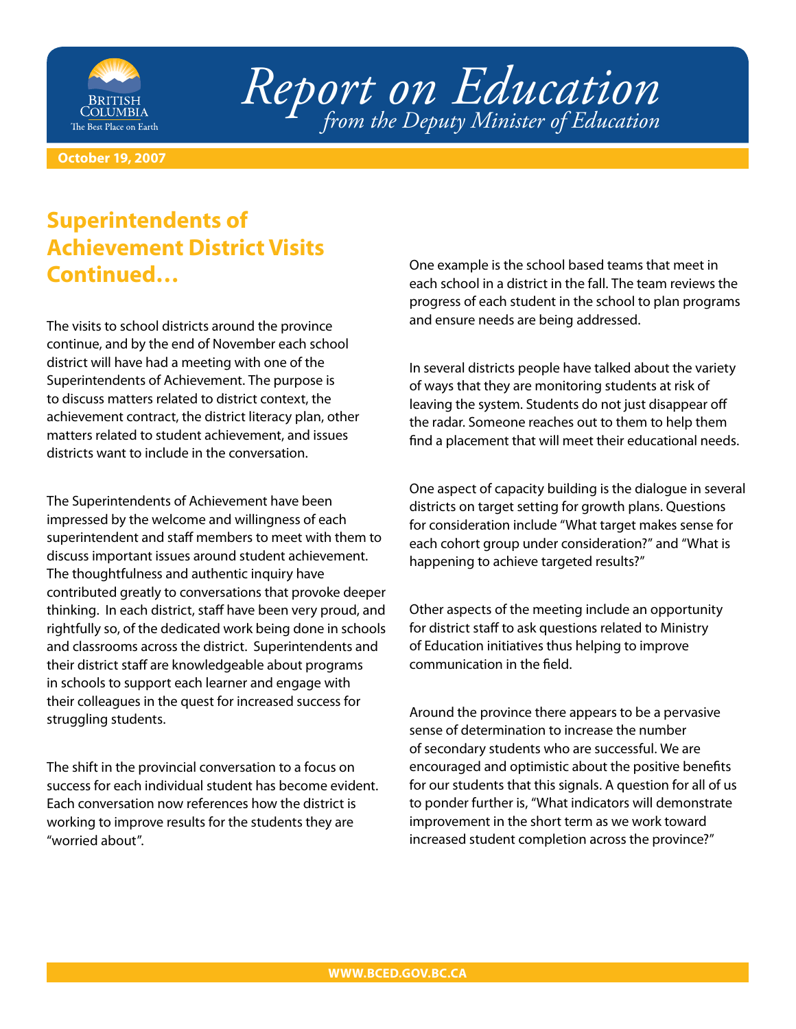

*Report on Education from the Deputy Minister of Education*

**October 19, 2007**

## **Superintendents of Achievement District Visits Continued…**

The visits to school districts around the province continue, and by the end of November each school district will have had a meeting with one of the Superintendents of Achievement. The purpose is to discuss matters related to district context, the achievement contract, the district literacy plan, other matters related to student achievement, and issues districts want to include in the conversation.

The Superintendents of Achievement have been impressed by the welcome and willingness of each superintendent and staff members to meet with them to discuss important issues around student achievement. The thoughtfulness and authentic inquiry have contributed greatly to conversations that provoke deeper thinking. In each district, staff have been very proud, and rightfully so, of the dedicated work being done in schools and classrooms across the district. Superintendents and their district staff are knowledgeable about programs in schools to support each learner and engage with their colleagues in the quest for increased success for struggling students.

The shift in the provincial conversation to a focus on success for each individual student has become evident. Each conversation now references how the district is working to improve results for the students they are "worried about".

One example is the school based teams that meet in each school in a district in the fall. The team reviews the progress of each student in the school to plan programs and ensure needs are being addressed.

In several districts people have talked about the variety of ways that they are monitoring students at risk of leaving the system. Students do not just disappear off the radar. Someone reaches out to them to help them find a placement that will meet their educational needs.

One aspect of capacity building is the dialogue in several districts on target setting for growth plans. Questions for consideration include "What target makes sense for each cohort group under consideration?" and "What is happening to achieve targeted results?"

Other aspects of the meeting include an opportunity for district staff to ask questions related to Ministry of Education initiatives thus helping to improve communication in the field.

Around the province there appears to be a pervasive sense of determination to increase the number of secondary students who are successful. We are encouraged and optimistic about the positive benefits for our students that this signals. A question for all of us to ponder further is, "What indicators will demonstrate improvement in the short term as we work toward increased student completion across the province?"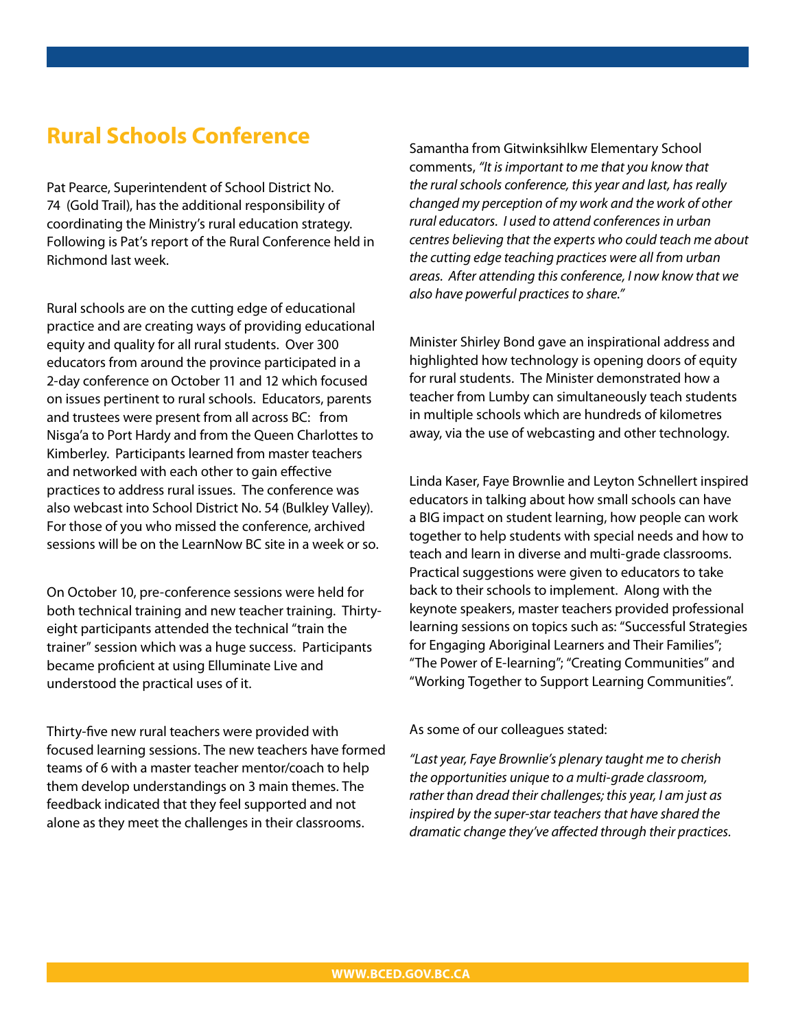## **Rural Schools Conference**

Pat Pearce, Superintendent of School District No. 74 (Gold Trail), has the additional responsibility of coordinating the Ministry's rural education strategy. Following is Pat's report of the Rural Conference held in Richmond last week.

Rural schools are on the cutting edge of educational practice and are creating ways of providing educational equity and quality for all rural students. Over 300 educators from around the province participated in a 2-day conference on October 11 and 12 which focused on issues pertinent to rural schools. Educators, parents and trustees were present from all across BC: from Nisga'a to Port Hardy and from the Queen Charlottes to Kimberley. Participants learned from master teachers and networked with each other to gain effective practices to address rural issues. The conference was also webcast into School District No. 54 (Bulkley Valley). For those of you who missed the conference, archived sessions will be on the LearnNow BC site in a week or so.

On October 10, pre-conference sessions were held for both technical training and new teacher training. Thirtyeight participants attended the technical "train the trainer" session which was a huge success. Participants became proficient at using Elluminate Live and understood the practical uses of it.

Thirty-five new rural teachers were provided with focused learning sessions. The new teachers have formed teams of 6 with a master teacher mentor/coach to help them develop understandings on 3 main themes. The feedback indicated that they feel supported and not alone as they meet the challenges in their classrooms.

Samantha from Gitwinksihlkw Elementary School comments, *"It is important to me that you know that the rural schools conference, this year and last, has really changed my perception of my work and the work of other rural educators. I used to attend conferences in urban centres believing that the experts who could teach me about the cutting edge teaching practices were all from urban areas. After attending this conference, I now know that we also have powerful practices to share."*

Minister Shirley Bond gave an inspirational address and highlighted how technology is opening doors of equity for rural students. The Minister demonstrated how a teacher from Lumby can simultaneously teach students in multiple schools which are hundreds of kilometres away, via the use of webcasting and other technology.

Linda Kaser, Faye Brownlie and Leyton Schnellert inspired educators in talking about how small schools can have a BIG impact on student learning, how people can work together to help students with special needs and how to teach and learn in diverse and multi-grade classrooms. Practical suggestions were given to educators to take back to their schools to implement. Along with the keynote speakers, master teachers provided professional learning sessions on topics such as: "Successful Strategies for Engaging Aboriginal Learners and Their Families"; "The Power of E-learning"; "Creating Communities" and "Working Together to Support Learning Communities".

As some of our colleagues stated:

*"Last year, Faye Brownlie's plenary taught me to cherish the opportunities unique to a multi-grade classroom, rather than dread their challenges; this year, I am just as inspired by the super-star teachers that have shared the dramatic change they've affected through their practices.*